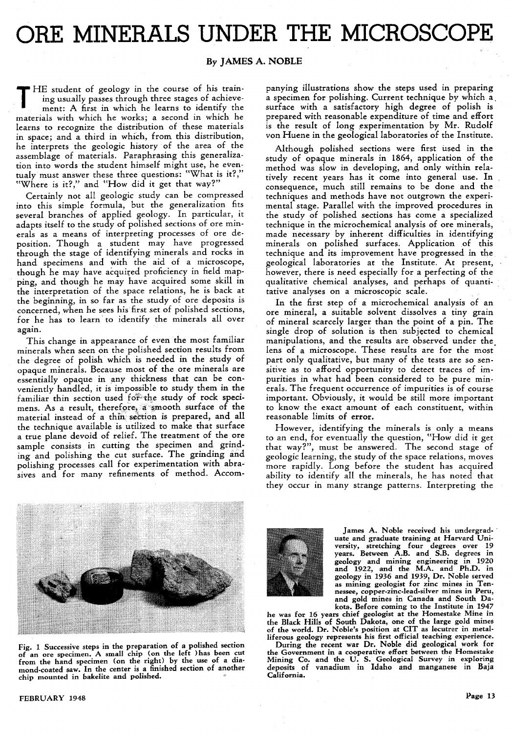## **ORE MINERALS UNDER THE MICROSCOPE**

## **By JAMES A. NOBLE**

THE student of geology in the course of his train-<br>ing usually passes through three stages of achieve-<br>ment: A first in which he learns to identify the ing usually passes through three stages of achievement: A first in which he learns to identify the materials with which he works; a second in which he learns to recognize the distribution of these materials in space; and a third in which, from this distribution, he interprets the geologic history of the area of the assemblage of materials. Paraphrasing this generalization into words the student himself might use, he eventualy must answer these three questions: "What is it?," "Where is it?," and "How did it get that way?"

Certainly not all geologic study can be compressed into this simple formula, but the generalization fits several branches of applied geology. In particular, it adapts itself to the study of polished sections of ore minerals as a means of interpreting processes of ore deposition. Though a student may have progressed through the stage of identifying minerals and rocks in hand specimens and with the aid of a microscope, though he may have acquired proficiency in field mapping, and though he may have acquired some skill in the interpretation of the space relations, he is back at the beginning, in so far as the study of ore deposits is concerned, when he sees his first set of polished sections, for he has to learn' to identify the minerals all over again.

This change in appearance of even the most familiar minerals when seen on the polished section results from the degree of polish which is needed in the study of opaque minerals. Because most of the ore minerals are essentially opaque in any thickness that can be conveniently handled, it is impossible to study them in the familiar thin section used for the study of rock specimens. As a result, therefore, a smooth surface of the material instead of a thin section is prepared, and all the technique available is utilized to make that surface a true plane devoid of relief. The treatment of the ore sample consists in cutting the specimen and grinding and polishing the cut surface. The grinding and polishing processes call for experimentation with abrasives and for many refinements of method. Accom-

panying illustrations show the steps used in preparing a specimen for polishing. Current technique by which a. surface with a satisfactory high degree of polish is prepared with reasonable expenditure of time and effort is the result of long experimentation by Mr. Rudolf von Huene in the geological laboratories of the Institute.

Although polished sections were first used in the study of opaque minerals in 1864, application of the method was slow in developing, and only within relatively recent years has it come into general use. In consequence, much still remains to be done and the techniques and methods have not outgrown the experimental stage. Parallel with the improved procedures in the study of polished sections has come a specialized technique in the microchemical analysis of ore minerals, made necessary by inherent difficulties in identifying minerals on polished surfaces. Application of this technique and its improvement have progressed in the geological laboratories at the Institute. At present, however, there is need especially for a perfecting of the qualitative chemical analyses, and perhaps of quantitative analyses on a microscopic scale.

In the first step of a microchemical analysis of an ore mineral, a suitable solvent dissolves a tiny grain of mineral scarcely larger than the point of a pin. The single drop of solution is then subjected to chemical manipulations, and the results are observed under the. lens of a microscope. These results are for the most part only qualitative, but many of the tests are so sensitive as to afford opportunity to detect traces of impurities in what had been considered to be pure minerals. The frequent occurrence of impurities is of course important. Obviously, it would be still more important to know the exact amount of each constituent, within reasonable limits of error.

However, identifying the minerals is only a means to an end, for eventually the question, "How did it get that way?", must be answered. The second stage of geologic learning, the study of the space relations, moves more rapidly. Long before the student has acquired ability to identify all the minerals, he has noted that they occur in many strange patterns. Interpreting the



Fig. 1 Successive steps in the preparation of a polished section of an ore specimen. A small chip (on the left )has been cut from the hand specimen (on the right) by the use of a diamond.coated saw. In the center is a finished section of another chip mounted in bakelite and polished.

FEBRUARY 1948



James A. Noble received his undergrad- ' uate and graduate training at Harvard University, stretching four degrees over 19 years. Between A.B. and S.B. degrees in geology and mining engineering in 1920 and 1922, and the M.A. and Ph.D. in geology in 1936 and 1939, Dr. Noble served as mining geologist for zinc mines in Tennessee, copper-zinc-Iead-silver mines in Peru, and gold mines in Canada and South Dakota. Before coming to the Institute in 1947

he was for 16 years chief geologist at the Homestake Mine in the Black Hills of South Dakota, one of the large gold mines<br>of the world. Dr. Noble's position at CIT as lecutrer in metal-<br>liferous geology represents his first official teaching experience.<br>During the recent war Dr. Nob

the Government in a cooperative effort between the Homestake Mining Co. and the U. S. Geological Survey in exploring deposits of vanadium in Idaho and manganese in Baja California.